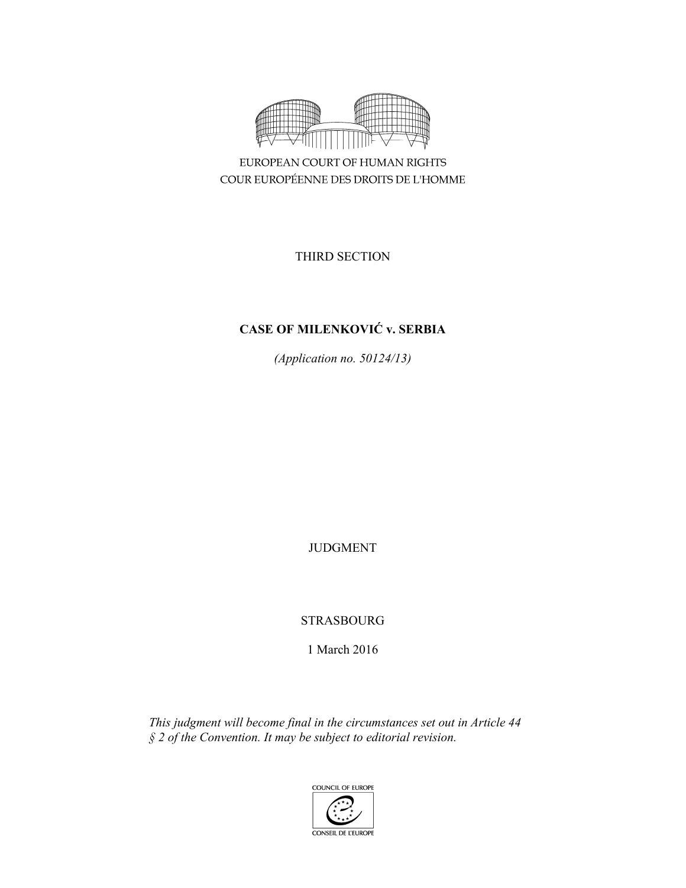

EUROPEAN COURT OF HUMAN RIGHTS COUR EUROPÉENNE DES DROITS DE L'HOMME

THIRD SECTION

# **CASE OF MILENKOVIĆ v. SERBIA**

*(Application no. 50124/13)* 

JUDGMENT

STRASBOURG

1 March 2016

*This judgment will become final in the circumstances set out in Article 44 § 2 of the Convention. It may be subject to editorial revision.* 

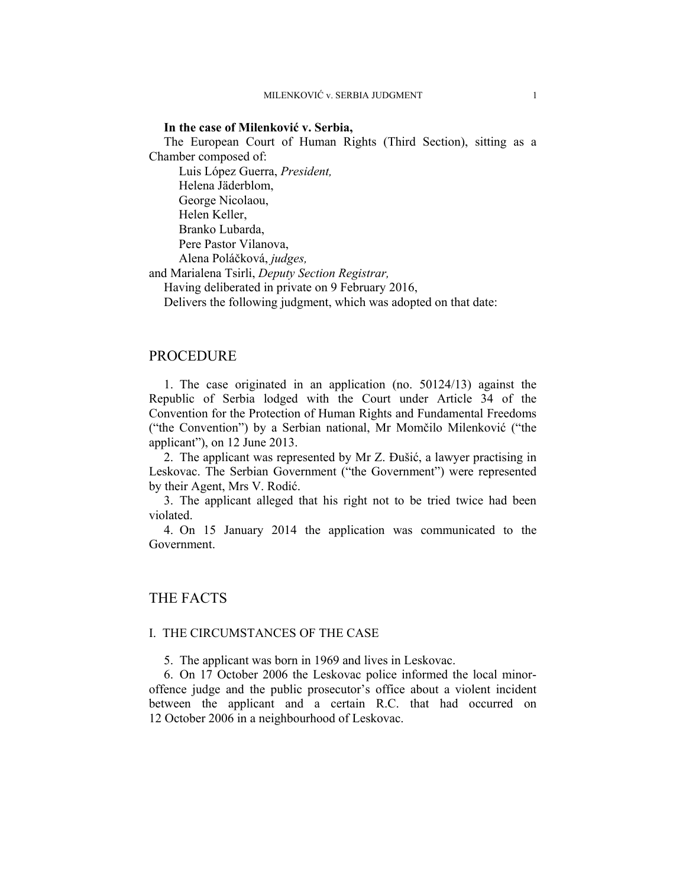#### **In the case of Milenković v. Serbia,**

The European Court of Human Rights (Third Section), sitting as a Chamber composed of:

 Luis López Guerra, *President,*  Helena Jäderblom, George Nicolaou, Helen Keller, Branko Lubarda, Pere Pastor Vilanova, Alena Poláčková, *judges,*

and Marialena Tsirli, *Deputy Section Registrar,*

Having deliberated in private on 9 February 2016,

Delivers the following judgment, which was adopted on that date:

## PROCEDURE

1. The case originated in an application (no. 50124/13) against the Republic of Serbia lodged with the Court under Article 34 of the Convention for the Protection of Human Rights and Fundamental Freedoms ("the Convention") by a Serbian national, Mr Momčilo Milenković ("the applicant"), on 12 June 2013.

2. The applicant was represented by Mr Z. Đušić, a lawyer practising in Leskovac. The Serbian Government ("the Government") were represented by their Agent, Mrs V. Rodić.

3. The applicant alleged that his right not to be tried twice had been violated.

4. On 15 January 2014 the application was communicated to the Government.

# THE FACTS

#### I. THE CIRCUMSTANCES OF THE CASE

5. The applicant was born in 1969 and lives in Leskovac.

6. On 17 October 2006 the Leskovac police informed the local minoroffence judge and the public prosecutor's office about a violent incident between the applicant and a certain R.C. that had occurred on 12 October 2006 in a neighbourhood of Leskovac.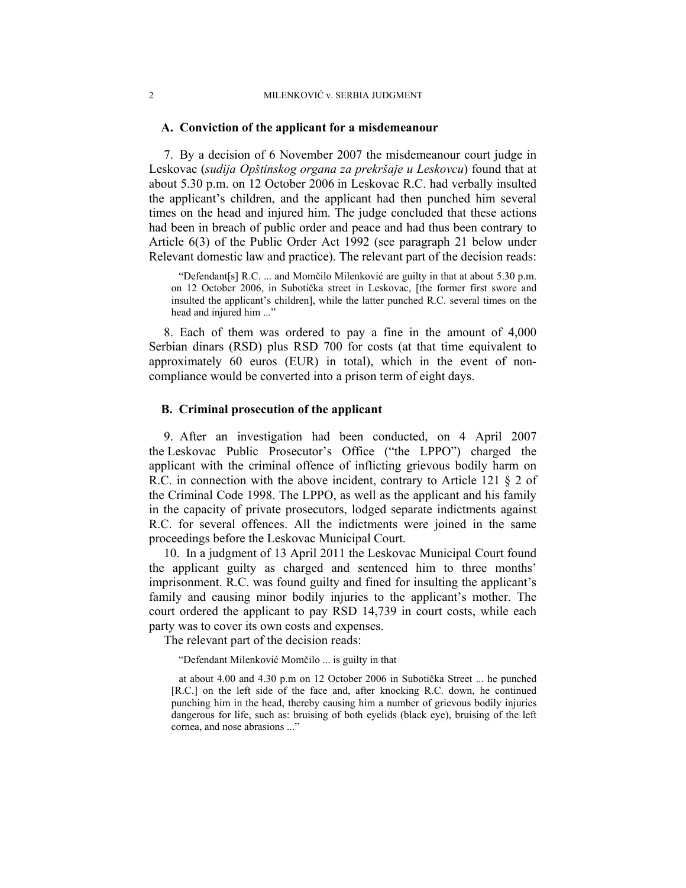#### **A. Conviction of the applicant for a misdemeanour**

7. By a decision of 6 November 2007 the misdemeanour court judge in Leskovac (*sudija Opštinskog organa za prekršaje u Leskovcu*) found that at about 5.30 p.m. on 12 October 2006 in Leskovac R.C. had verbally insulted the applicant's children, and the applicant had then punched him several times on the head and injured him. The judge concluded that these actions had been in breach of public order and peace and had thus been contrary to Article 6(3) of the Public Order Act 1992 (see paragraph 21 below under Relevant domestic law and practice). The relevant part of the decision reads:

"Defendant[s] R.C. ... and Momčilo Milenković are guilty in that at about 5.30 p.m. on 12 October 2006, in Subotička street in Leskovac, [the former first swore and insulted the applicant's children], while the latter punched R.C. several times on the head and injured him ..."

8. Each of them was ordered to pay a fine in the amount of 4,000 Serbian dinars (RSD) plus RSD 700 for costs (at that time equivalent to approximately 60 euros (EUR) in total), which in the event of noncompliance would be converted into a prison term of eight days.

#### **B. Criminal prosecution of the applicant**

9. After an investigation had been conducted, on 4 April 2007 the Leskovac Public Prosecutor's Office ("the LPPO") charged the applicant with the criminal offence of inflicting grievous bodily harm on R.C. in connection with the above incident, contrary to Article 121 § 2 of the Criminal Code 1998. The LPPO, as well as the applicant and his family in the capacity of private prosecutors, lodged separate indictments against R.C. for several offences. All the indictments were joined in the same proceedings before the Leskovac Municipal Court.

10. In a judgment of 13 April 2011 the Leskovac Municipal Court found the applicant guilty as charged and sentenced him to three months' imprisonment. R.C. was found guilty and fined for insulting the applicant's family and causing minor bodily injuries to the applicant's mother. The court ordered the applicant to pay RSD 14,739 in court costs, while each party was to cover its own costs and expenses.

The relevant part of the decision reads:

"Defendant Milenković Momčilo ... is guilty in that

at about 4.00 and 4.30 p.m on 12 October 2006 in Subotička Street ... he punched [R.C.] on the left side of the face and, after knocking R.C. down, he continued punching him in the head, thereby causing him a number of grievous bodily injuries dangerous for life, such as: bruising of both eyelids (black eye), bruising of the left cornea, and nose abrasions ..."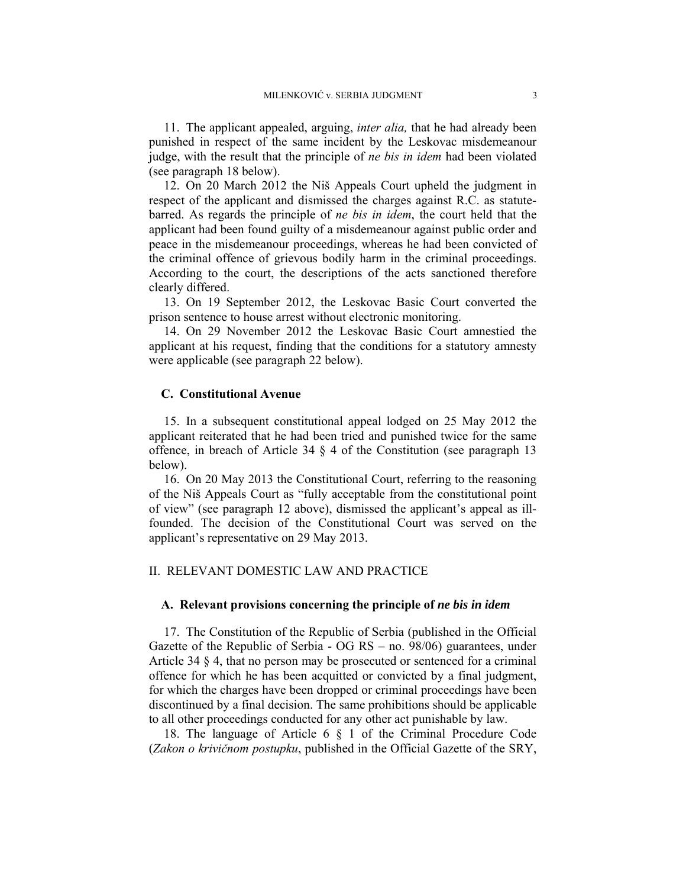11. The applicant appealed, arguing, *inter alia,* that he had already been punished in respect of the same incident by the Leskovac misdemeanour judge, with the result that the principle of *ne bis in idem* had been violated (see paragraph 18 below).

12. On 20 March 2012 the Niš Appeals Court upheld the judgment in respect of the applicant and dismissed the charges against R.C. as statutebarred. As regards the principle of *ne bis in idem*, the court held that the applicant had been found guilty of a misdemeanour against public order and peace in the misdemeanour proceedings, whereas he had been convicted of the criminal offence of grievous bodily harm in the criminal proceedings. According to the court, the descriptions of the acts sanctioned therefore clearly differed.

13. On 19 September 2012, the Leskovac Basic Court converted the prison sentence to house arrest without electronic monitoring.

14. On 29 November 2012 the Leskovac Basic Court amnestied the applicant at his request, finding that the conditions for a statutory amnesty were applicable (see paragraph 22 below).

## **C. Constitutional Avenue**

15. In a subsequent constitutional appeal lodged on 25 May 2012 the applicant reiterated that he had been tried and punished twice for the same offence, in breach of Article 34 § 4 of the Constitution (see paragraph 13 below).

16. On 20 May 2013 the Constitutional Court, referring to the reasoning of the Niš Appeals Court as "fully acceptable from the constitutional point of view" (see paragraph 12 above), dismissed the applicant's appeal as illfounded. The decision of the Constitutional Court was served on the applicant's representative on 29 May 2013.

#### II. RELEVANT DOMESTIC LAW AND PRACTICE

## **A. Relevant provisions concerning the principle of** *ne bis in idem*

17. The Constitution of the Republic of Serbia (published in the Official Gazette of the Republic of Serbia - OG RS – no. 98/06) guarantees, under Article 34 § 4, that no person may be prosecuted or sentenced for a criminal offence for which he has been acquitted or convicted by a final judgment, for which the charges have been dropped or criminal proceedings have been discontinued by a final decision. The same prohibitions should be applicable to all other proceedings conducted for any other act punishable by law.

18. The language of Article 6 § 1 of the Criminal Procedure Code (*Zakon o krivičnom postupku*, published in the Official Gazette of the SRY,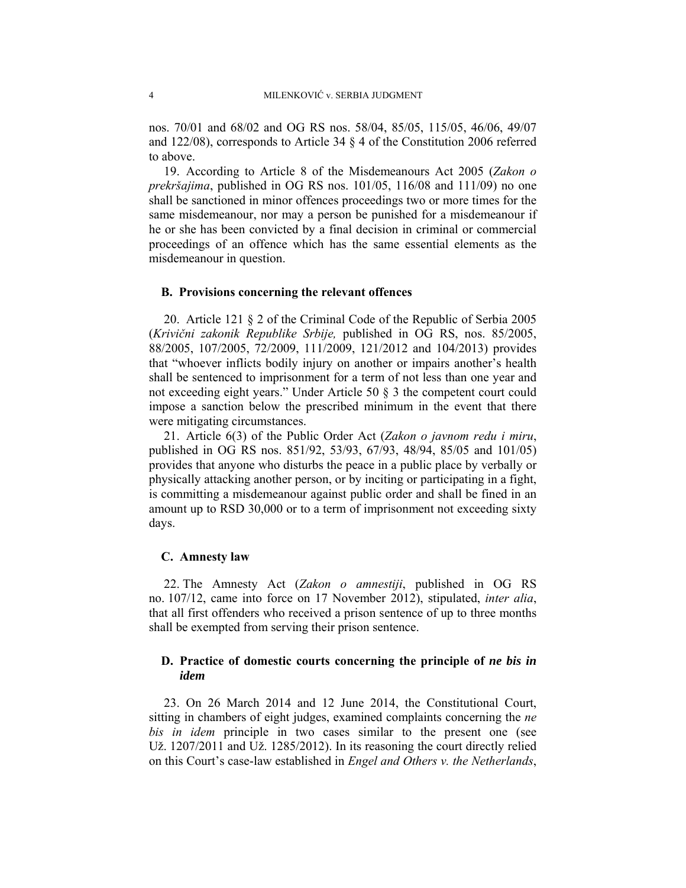nos. 70/01 and 68/02 and OG RS nos. 58/04, 85/05, 115/05, 46/06, 49/07 and 122/08), corresponds to Article 34 § 4 of the Constitution 2006 referred to above.

19. According to Article 8 of the Misdemeanours Act 2005 (*Zakon o prekršajima*, published in OG RS nos. 101/05, 116/08 and 111/09) no one shall be sanctioned in minor offences proceedings two or more times for the same misdemeanour, nor may a person be punished for a misdemeanour if he or she has been convicted by a final decision in criminal or commercial proceedings of an offence which has the same essential elements as the misdemeanour in question.

#### **B. Provisions concerning the relevant offences**

20. Article 121 § 2 of the Criminal Code of the Republic of Serbia 2005 (*Krivični zakonik Republike Srbije,* published in OG RS, nos. 85/2005, 88/2005, 107/2005, 72/2009, 111/2009, 121/2012 and 104/2013) provides that "whoever inflicts bodily injury on another or impairs another's health shall be sentenced to imprisonment for a term of not less than one year and not exceeding eight years." Under Article 50 § 3 the competent court could impose a sanction below the prescribed minimum in the event that there were mitigating circumstances.

21. Article 6(3) of the Public Order Act (*Zakon o javnom redu i miru*, published in OG RS nos. 851/92, 53/93, 67/93, 48/94, 85/05 and 101/05) provides that anyone who disturbs the peace in a public place by verbally or physically attacking another person, or by inciting or participating in a fight, is committing a misdemeanour against public order and shall be fined in an amount up to RSD 30,000 or to a term of imprisonment not exceeding sixty days.

#### **C. Amnesty law**

22. The Amnesty Act (*Zakon o amnestiji*, published in OG RS no. 107/12, came into force on 17 November 2012), stipulated, *inter alia*, that all first offenders who received a prison sentence of up to three months shall be exempted from serving their prison sentence.

## **D. Practice of domestic courts concerning the principle of** *ne bis in idem*

23. On 26 March 2014 and 12 June 2014, the Constitutional Court, sitting in chambers of eight judges, examined complaints concerning the *ne bis in idem* principle in two cases similar to the present one (see Už. 1207/2011 and Už. 1285/2012). In its reasoning the court directly relied on this Court's case-law established in *Engel and Others v. the Netherlands*,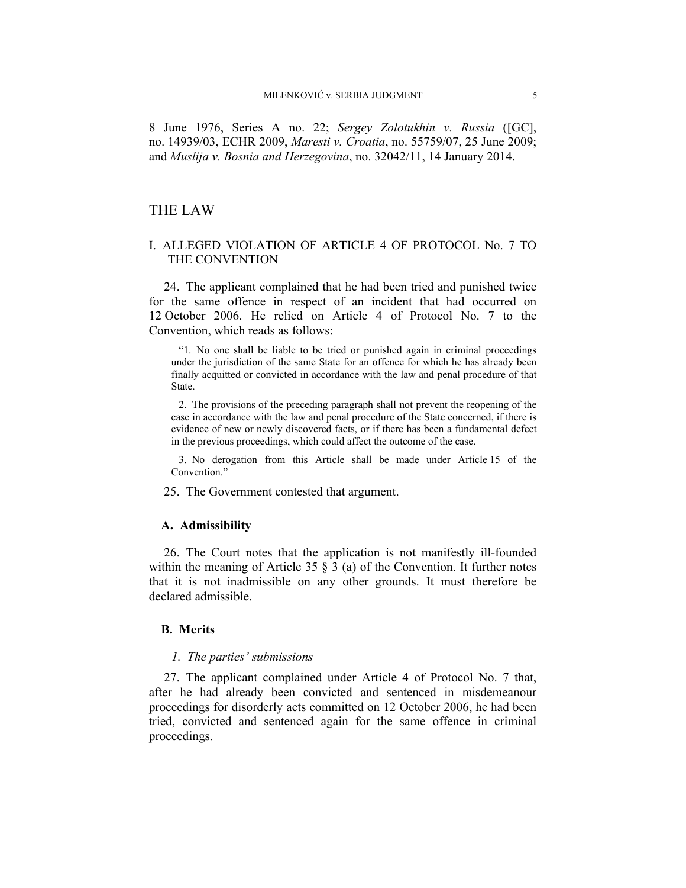8 June 1976, Series A no. 22; *Sergey Zolotukhin v. Russia* ([GC], no. 14939/03, ECHR 2009, *Maresti v. Croatia*, no. 55759/07, 25 June 2009; and *Muslija v. Bosnia and Herzegovina*, no. 32042/11, 14 January 2014.

# THE LAW

## I. ALLEGED VIOLATION OF ARTICLE 4 OF PROTOCOL No. 7 TO THE CONVENTION

24. The applicant complained that he had been tried and punished twice for the same offence in respect of an incident that had occurred on 12 October 2006. He relied on Article 4 of Protocol No. 7 to the Convention, which reads as follows:

"1. No one shall be liable to be tried or punished again in criminal proceedings under the jurisdiction of the same State for an offence for which he has already been finally acquitted or convicted in accordance with the law and penal procedure of that State.

2. The provisions of the preceding paragraph shall not prevent the reopening of the case in accordance with the law and penal procedure of the State concerned, if there is evidence of new or newly discovered facts, or if there has been a fundamental defect in the previous proceedings, which could affect the outcome of the case.

3. No derogation from this Article shall be made under Article 15 of the Convention<sup>"</sup>

25. The Government contested that argument.

#### **A. Admissibility**

26. The Court notes that the application is not manifestly ill-founded within the meaning of Article 35  $\S$  3 (a) of the Convention. It further notes that it is not inadmissible on any other grounds. It must therefore be declared admissible.

#### **B. Merits**

#### *1. The parties' submissions*

27. The applicant complained under Article 4 of Protocol No. 7 that, after he had already been convicted and sentenced in misdemeanour proceedings for disorderly acts committed on 12 October 2006, he had been tried, convicted and sentenced again for the same offence in criminal proceedings.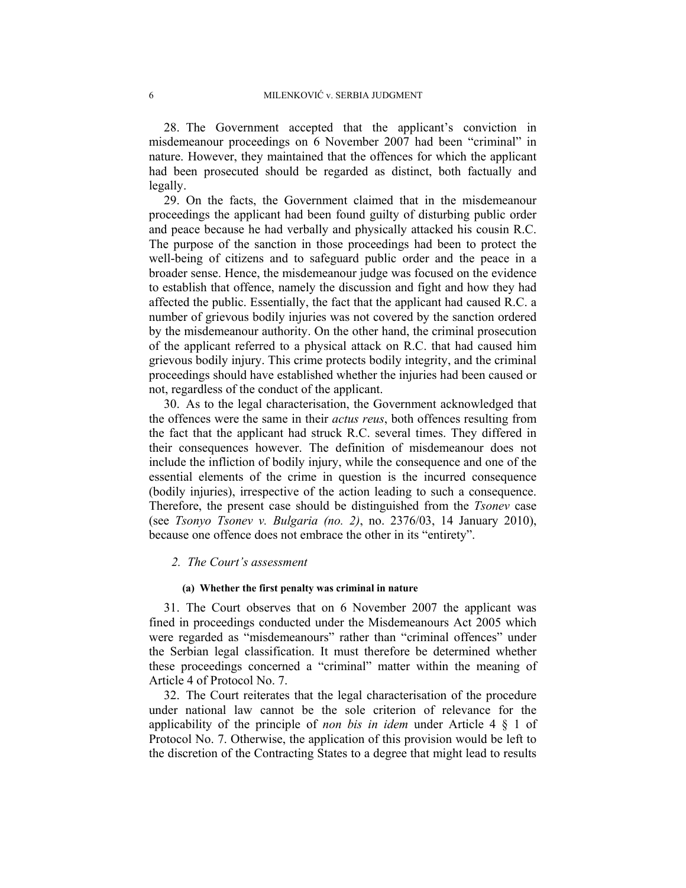28. The Government accepted that the applicant's conviction in misdemeanour proceedings on 6 November 2007 had been "criminal" in nature. However, they maintained that the offences for which the applicant had been prosecuted should be regarded as distinct, both factually and legally.

29. On the facts, the Government claimed that in the misdemeanour proceedings the applicant had been found guilty of disturbing public order and peace because he had verbally and physically attacked his cousin R.C. The purpose of the sanction in those proceedings had been to protect the well-being of citizens and to safeguard public order and the peace in a broader sense. Hence, the misdemeanour judge was focused on the evidence to establish that offence, namely the discussion and fight and how they had affected the public. Essentially, the fact that the applicant had caused R.C. a number of grievous bodily injuries was not covered by the sanction ordered by the misdemeanour authority. On the other hand, the criminal prosecution of the applicant referred to a physical attack on R.C. that had caused him grievous bodily injury. This crime protects bodily integrity, and the criminal proceedings should have established whether the injuries had been caused or not, regardless of the conduct of the applicant.

30. As to the legal characterisation, the Government acknowledged that the offences were the same in their *actus reus*, both offences resulting from the fact that the applicant had struck R.C. several times. They differed in their consequences however. The definition of misdemeanour does not include the infliction of bodily injury, while the consequence and one of the essential elements of the crime in question is the incurred consequence (bodily injuries), irrespective of the action leading to such a consequence. Therefore, the present case should be distinguished from the *Tsonev* case (see *Tsonyo Tsonev v. Bulgaria (no. 2)*, no. 2376/03, 14 January 2010), because one offence does not embrace the other in its "entirety".

## *2. The Court's assessment*

#### **(a) Whether the first penalty was criminal in nature**

31. The Court observes that on 6 November 2007 the applicant was fined in proceedings conducted under the Misdemeanours Act 2005 which were regarded as "misdemeanours" rather than "criminal offences" under the Serbian legal classification. It must therefore be determined whether these proceedings concerned a "criminal" matter within the meaning of Article 4 of Protocol No. 7.

32. The Court reiterates that the legal characterisation of the procedure under national law cannot be the sole criterion of relevance for the applicability of the principle of *non bis in idem* under Article 4 § 1 of Protocol No. 7. Otherwise, the application of this provision would be left to the discretion of the Contracting States to a degree that might lead to results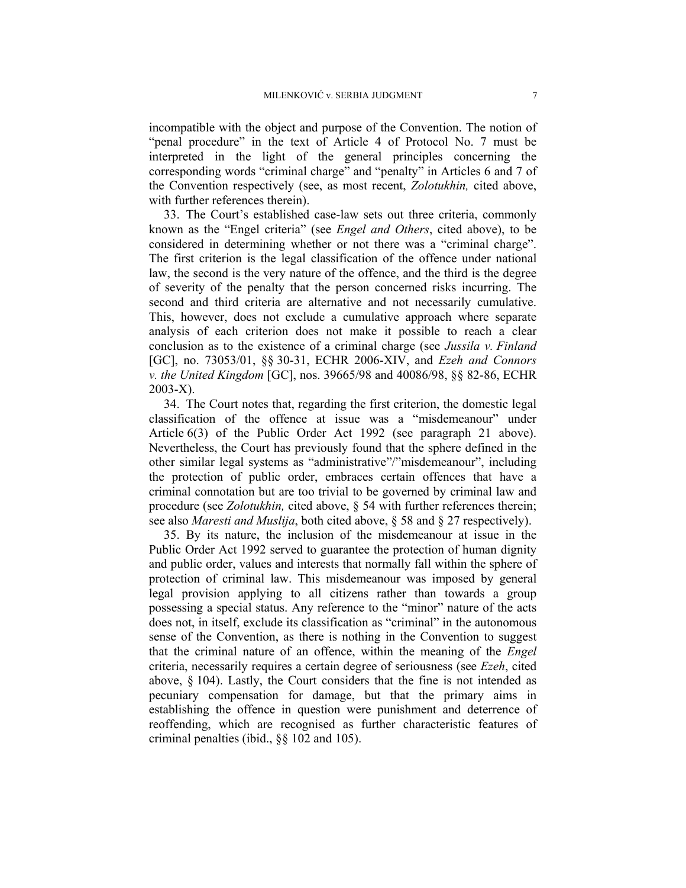incompatible with the object and purpose of the Convention. The notion of "penal procedure" in the text of Article 4 of Protocol No. 7 must be interpreted in the light of the general principles concerning the corresponding words "criminal charge" and "penalty" in Articles 6 and 7 of the Convention respectively (see, as most recent, *Zolotukhin,* cited above, with further references therein).

33. The Court's established case-law sets out three criteria, commonly known as the "Engel criteria" (see *Engel and Others*, cited above), to be considered in determining whether or not there was a "criminal charge". The first criterion is the legal classification of the offence under national law, the second is the very nature of the offence, and the third is the degree of severity of the penalty that the person concerned risks incurring. The second and third criteria are alternative and not necessarily cumulative. This, however, does not exclude a cumulative approach where separate analysis of each criterion does not make it possible to reach a clear conclusion as to the existence of a criminal charge (see *Jussila v. Finland* [GC], no. 73053/01, §§ 30-31, ECHR 2006-XIV, and *Ezeh and Connors v. the United Kingdom* [GC], nos. 39665/98 and 40086/98, §§ 82-86, ECHR 2003-X).

34. The Court notes that, regarding the first criterion, the domestic legal classification of the offence at issue was a "misdemeanour" under Article 6(3) of the Public Order Act 1992 (see paragraph 21 above). Nevertheless, the Court has previously found that the sphere defined in the other similar legal systems as "administrative"/"misdemeanour", including the protection of public order, embraces certain offences that have a criminal connotation but are too trivial to be governed by criminal law and procedure (see *Zolotukhin,* cited above, § 54 with further references therein; see also *Maresti and Muslija*, both cited above, § 58 and § 27 respectively).

35. By its nature, the inclusion of the misdemeanour at issue in the Public Order Act 1992 served to guarantee the protection of human dignity and public order, values and interests that normally fall within the sphere of protection of criminal law. This misdemeanour was imposed by general legal provision applying to all citizens rather than towards a group possessing a special status. Any reference to the "minor" nature of the acts does not, in itself, exclude its classification as "criminal" in the autonomous sense of the Convention, as there is nothing in the Convention to suggest that the criminal nature of an offence, within the meaning of the *Engel* criteria, necessarily requires a certain degree of seriousness (see *Ezeh*, cited above, § 104). Lastly, the Court considers that the fine is not intended as pecuniary compensation for damage, but that the primary aims in establishing the offence in question were punishment and deterrence of reoffending, which are recognised as further characteristic features of criminal penalties (ibid., §§ 102 and 105).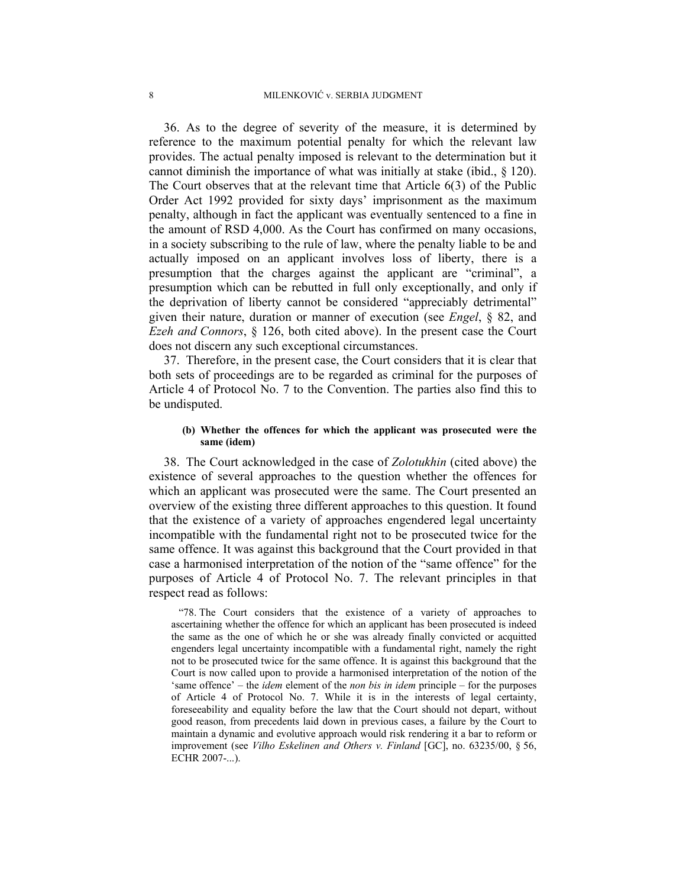36. As to the degree of severity of the measure, it is determined by reference to the maximum potential penalty for which the relevant law provides. The actual penalty imposed is relevant to the determination but it cannot diminish the importance of what was initially at stake (ibid., § 120). The Court observes that at the relevant time that Article 6(3) of the Public Order Act 1992 provided for sixty days' imprisonment as the maximum penalty, although in fact the applicant was eventually sentenced to a fine in the amount of RSD 4,000. As the Court has confirmed on many occasions, in a society subscribing to the rule of law, where the penalty liable to be and actually imposed on an applicant involves loss of liberty, there is a presumption that the charges against the applicant are "criminal", a presumption which can be rebutted in full only exceptionally, and only if the deprivation of liberty cannot be considered "appreciably detrimental" given their nature, duration or manner of execution (see *Engel*, § 82, and *Ezeh and Connors*, § 126, both cited above). In the present case the Court does not discern any such exceptional circumstances.

37. Therefore, in the present case, the Court considers that it is clear that both sets of proceedings are to be regarded as criminal for the purposes of Article 4 of Protocol No. 7 to the Convention. The parties also find this to be undisputed.

## **(b) Whether the offences for which the applicant was prosecuted were the same (idem)**

38. The Court acknowledged in the case of *Zolotukhin* (cited above) the existence of several approaches to the question whether the offences for which an applicant was prosecuted were the same. The Court presented an overview of the existing three different approaches to this question. It found that the existence of a variety of approaches engendered legal uncertainty incompatible with the fundamental right not to be prosecuted twice for the same offence. It was against this background that the Court provided in that case a harmonised interpretation of the notion of the "same offence" for the purposes of Article 4 of Protocol No. 7. The relevant principles in that respect read as follows:

"78. The Court considers that the existence of a variety of approaches to ascertaining whether the offence for which an applicant has been prosecuted is indeed the same as the one of which he or she was already finally convicted or acquitted engenders legal uncertainty incompatible with a fundamental right, namely the right not to be prosecuted twice for the same offence. It is against this background that the Court is now called upon to provide a harmonised interpretation of the notion of the 'same offence' – the *idem* element of the *non bis in idem* principle – for the purposes of Article 4 of Protocol No. 7. While it is in the interests of legal certainty, foreseeability and equality before the law that the Court should not depart, without good reason, from precedents laid down in previous cases, a failure by the Court to maintain a dynamic and evolutive approach would risk rendering it a bar to reform or improvement (see *Vilho Eskelinen and Others v. Finland* [GC], no. 63235/00, § 56, ECHR 2007-...).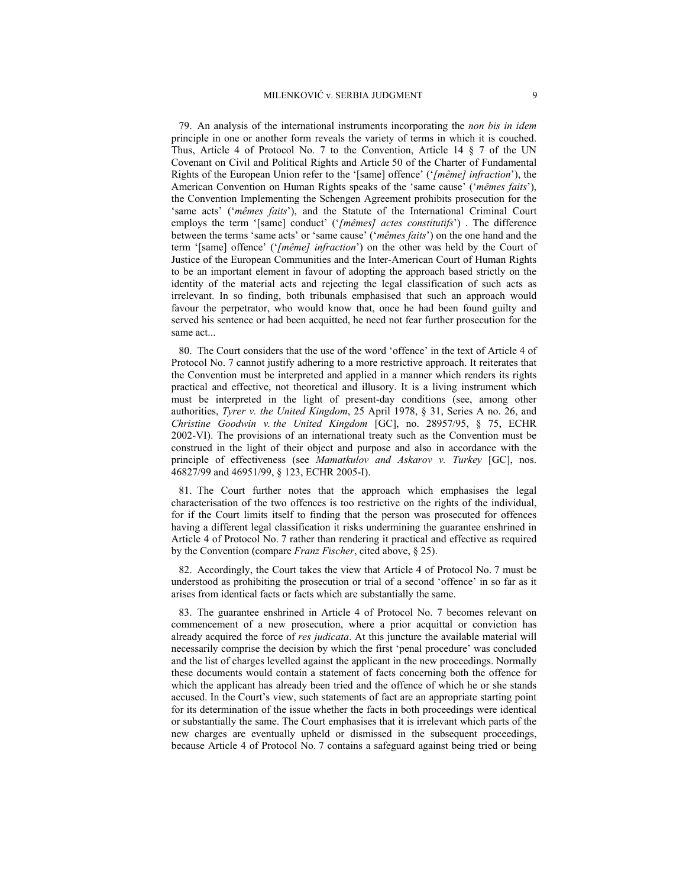79. An analysis of the international instruments incorporating the *non bis in idem* principle in one or another form reveals the variety of terms in which it is couched. Thus, Article 4 of Protocol No. 7 to the Convention, Article 14  $\S$  7 of the UN Covenant on Civil and Political Rights and Article 50 of the Charter of Fundamental Rights of the European Union refer to the '[same] offence' ('*[même] infraction*'), the American Convention on Human Rights speaks of the 'same cause' ('*mêmes faits*'), the Convention Implementing the Schengen Agreement prohibits prosecution for the 'same acts' ('*mêmes faits*'), and the Statute of the International Criminal Court employs the term '[same] conduct' ('*[mêmes] actes constitutifs*') . The difference between the terms 'same acts' or 'same cause' ('*mêmes faits*') on the one hand and the term '[same] offence' ('*[même] infraction*') on the other was held by the Court of Justice of the European Communities and the Inter-American Court of Human Rights to be an important element in favour of adopting the approach based strictly on the identity of the material acts and rejecting the legal classification of such acts as irrelevant. In so finding, both tribunals emphasised that such an approach would favour the perpetrator, who would know that, once he had been found guilty and served his sentence or had been acquitted, he need not fear further prosecution for the same act...

80. The Court considers that the use of the word 'offence' in the text of Article 4 of Protocol No. 7 cannot justify adhering to a more restrictive approach. It reiterates that the Convention must be interpreted and applied in a manner which renders its rights practical and effective, not theoretical and illusory. It is a living instrument which must be interpreted in the light of present-day conditions (see, among other authorities, *Tyrer v. the United Kingdom*, 25 April 1978, § 31, Series A no. 26, and *Christine Goodwin v. the United Kingdom* [GC], no. 28957/95, § 75, ECHR 2002-VI). The provisions of an international treaty such as the Convention must be construed in the light of their object and purpose and also in accordance with the principle of effectiveness (see *Mamatkulov and Askarov v. Turkey* [GC], nos. 46827/99 and 46951/99, § 123, ECHR 2005-I).

81. The Court further notes that the approach which emphasises the legal characterisation of the two offences is too restrictive on the rights of the individual, for if the Court limits itself to finding that the person was prosecuted for offences having a different legal classification it risks undermining the guarantee enshrined in Article 4 of Protocol No. 7 rather than rendering it practical and effective as required by the Convention (compare *Franz Fischer*, cited above, § 25).

82. Accordingly, the Court takes the view that Article 4 of Protocol No. 7 must be understood as prohibiting the prosecution or trial of a second 'offence' in so far as it arises from identical facts or facts which are substantially the same.

83. The guarantee enshrined in Article 4 of Protocol No. 7 becomes relevant on commencement of a new prosecution, where a prior acquittal or conviction has already acquired the force of *res judicata*. At this juncture the available material will necessarily comprise the decision by which the first 'penal procedure' was concluded and the list of charges levelled against the applicant in the new proceedings. Normally these documents would contain a statement of facts concerning both the offence for which the applicant has already been tried and the offence of which he or she stands accused. In the Court's view, such statements of fact are an appropriate starting point for its determination of the issue whether the facts in both proceedings were identical or substantially the same. The Court emphasises that it is irrelevant which parts of the new charges are eventually upheld or dismissed in the subsequent proceedings, because Article 4 of Protocol No. 7 contains a safeguard against being tried or being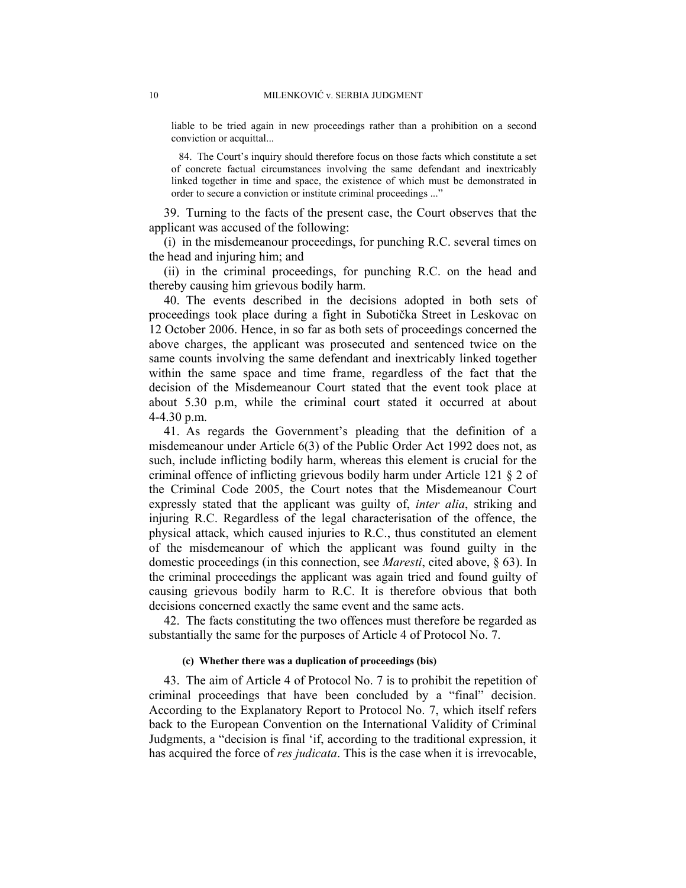liable to be tried again in new proceedings rather than a prohibition on a second conviction or acquittal...

84. The Court's inquiry should therefore focus on those facts which constitute a set of concrete factual circumstances involving the same defendant and inextricably linked together in time and space, the existence of which must be demonstrated in order to secure a conviction or institute criminal proceedings ..."

39. Turning to the facts of the present case, the Court observes that the applicant was accused of the following:

(i) in the misdemeanour proceedings, for punching R.C. several times on the head and injuring him; and

(ii) in the criminal proceedings, for punching R.C. on the head and thereby causing him grievous bodily harm.

40. The events described in the decisions adopted in both sets of proceedings took place during a fight in Subotička Street in Leskovac on 12 October 2006. Hence, in so far as both sets of proceedings concerned the above charges, the applicant was prosecuted and sentenced twice on the same counts involving the same defendant and inextricably linked together within the same space and time frame, regardless of the fact that the decision of the Misdemeanour Court stated that the event took place at about 5.30 p.m, while the criminal court stated it occurred at about 4-4.30 p.m.

41. As regards the Government's pleading that the definition of a misdemeanour under Article 6(3) of the Public Order Act 1992 does not, as such, include inflicting bodily harm, whereas this element is crucial for the criminal offence of inflicting grievous bodily harm under Article 121 § 2 of the Criminal Code 2005, the Court notes that the Misdemeanour Court expressly stated that the applicant was guilty of, *inter alia*, striking and injuring R.C. Regardless of the legal characterisation of the offence, the physical attack, which caused injuries to R.C., thus constituted an element of the misdemeanour of which the applicant was found guilty in the domestic proceedings (in this connection, see *Maresti*, cited above, § 63). In the criminal proceedings the applicant was again tried and found guilty of causing grievous bodily harm to R.C. It is therefore obvious that both decisions concerned exactly the same event and the same acts.

42. The facts constituting the two offences must therefore be regarded as substantially the same for the purposes of Article 4 of Protocol No. 7.

#### **(c) Whether there was a duplication of proceedings (bis)**

43. The aim of Article 4 of Protocol No. 7 is to prohibit the repetition of criminal proceedings that have been concluded by a "final" decision. According to the Explanatory Report to Protocol No. 7, which itself refers back to the European Convention on the International Validity of Criminal Judgments, a "decision is final 'if, according to the traditional expression, it has acquired the force of *res judicata*. This is the case when it is irrevocable,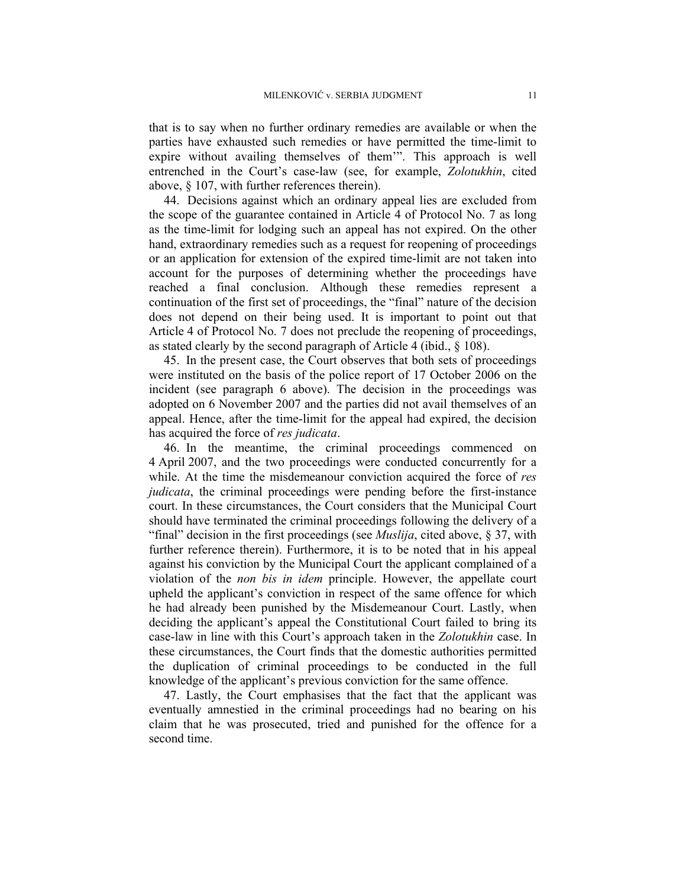that is to say when no further ordinary remedies are available or when the parties have exhausted such remedies or have permitted the time-limit to expire without availing themselves of them'". This approach is well entrenched in the Court's case-law (see, for example, *Zolotukhin*, cited above, § 107, with further references therein).

44. Decisions against which an ordinary appeal lies are excluded from the scope of the guarantee contained in Article 4 of Protocol No. 7 as long as the time-limit for lodging such an appeal has not expired. On the other hand, extraordinary remedies such as a request for reopening of proceedings or an application for extension of the expired time-limit are not taken into account for the purposes of determining whether the proceedings have reached a final conclusion. Although these remedies represent a continuation of the first set of proceedings, the "final" nature of the decision does not depend on their being used. It is important to point out that Article 4 of Protocol No. 7 does not preclude the reopening of proceedings, as stated clearly by the second paragraph of Article  $4$  (ibid.,  $§$  108).

45. In the present case, the Court observes that both sets of proceedings were instituted on the basis of the police report of 17 October 2006 on the incident (see paragraph 6 above). The decision in the proceedings was adopted on 6 November 2007 and the parties did not avail themselves of an appeal. Hence, after the time-limit for the appeal had expired, the decision has acquired the force of *res judicata*.

46. In the meantime, the criminal proceedings commenced on 4 April 2007, and the two proceedings were conducted concurrently for a while. At the time the misdemeanour conviction acquired the force of *res judicata*, the criminal proceedings were pending before the first-instance court. In these circumstances, the Court considers that the Municipal Court should have terminated the criminal proceedings following the delivery of a "final" decision in the first proceedings (see *Muslija*, cited above, § 37, with further reference therein). Furthermore, it is to be noted that in his appeal against his conviction by the Municipal Court the applicant complained of a violation of the *non bis in idem* principle. However, the appellate court upheld the applicant's conviction in respect of the same offence for which he had already been punished by the Misdemeanour Court. Lastly, when deciding the applicant's appeal the Constitutional Court failed to bring its case-law in line with this Court's approach taken in the *Zolotukhin* case. In these circumstances, the Court finds that the domestic authorities permitted the duplication of criminal proceedings to be conducted in the full knowledge of the applicant's previous conviction for the same offence.

47. Lastly, the Court emphasises that the fact that the applicant was eventually amnestied in the criminal proceedings had no bearing on his claim that he was prosecuted, tried and punished for the offence for a second time.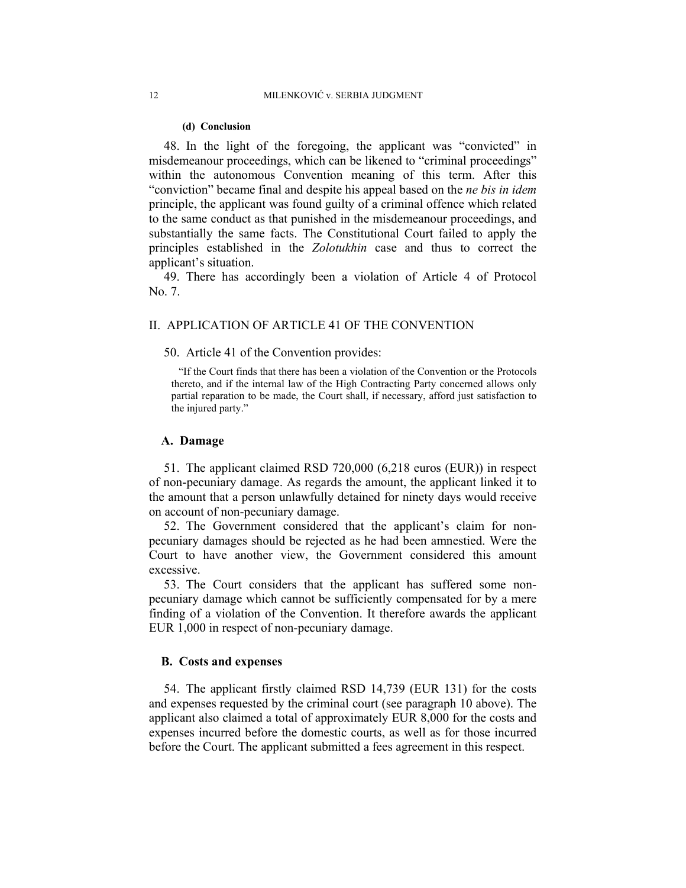#### **(d) Conclusion**

48. In the light of the foregoing, the applicant was "convicted" in misdemeanour proceedings, which can be likened to "criminal proceedings" within the autonomous Convention meaning of this term. After this "conviction" became final and despite his appeal based on the *ne bis in idem* principle, the applicant was found guilty of a criminal offence which related to the same conduct as that punished in the misdemeanour proceedings, and substantially the same facts. The Constitutional Court failed to apply the principles established in the *Zolotukhin* case and thus to correct the applicant's situation.

49. There has accordingly been a violation of Article 4 of Protocol No. 7.

#### II. APPLICATION OF ARTICLE 41 OF THE CONVENTION

#### 50. Article 41 of the Convention provides:

"If the Court finds that there has been a violation of the Convention or the Protocols thereto, and if the internal law of the High Contracting Party concerned allows only partial reparation to be made, the Court shall, if necessary, afford just satisfaction to the injured party."

#### **A. Damage**

51. The applicant claimed RSD 720,000 (6,218 euros (EUR)) in respect of non-pecuniary damage. As regards the amount, the applicant linked it to the amount that a person unlawfully detained for ninety days would receive on account of non-pecuniary damage.

52. The Government considered that the applicant's claim for nonpecuniary damages should be rejected as he had been amnestied. Were the Court to have another view, the Government considered this amount excessive.

53. The Court considers that the applicant has suffered some nonpecuniary damage which cannot be sufficiently compensated for by a mere finding of a violation of the Convention. It therefore awards the applicant EUR 1,000 in respect of non-pecuniary damage.

## **B. Costs and expenses**

54. The applicant firstly claimed RSD 14,739 (EUR 131) for the costs and expenses requested by the criminal court (see paragraph 10 above). The applicant also claimed a total of approximately EUR 8,000 for the costs and expenses incurred before the domestic courts, as well as for those incurred before the Court. The applicant submitted a fees agreement in this respect.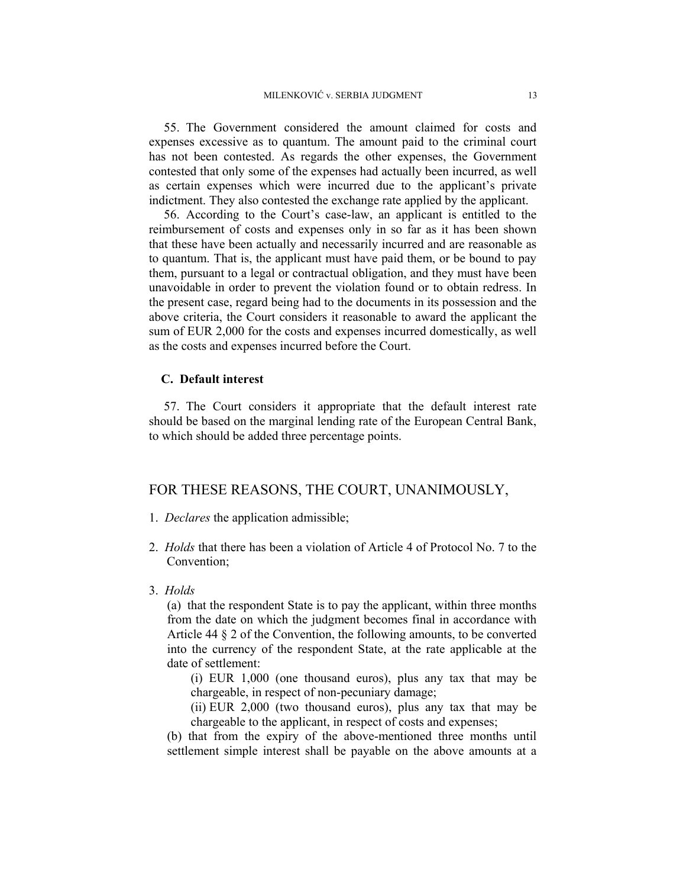55. The Government considered the amount claimed for costs and expenses excessive as to quantum. The amount paid to the criminal court has not been contested. As regards the other expenses, the Government contested that only some of the expenses had actually been incurred, as well as certain expenses which were incurred due to the applicant's private indictment. They also contested the exchange rate applied by the applicant.

56. According to the Court's case-law, an applicant is entitled to the reimbursement of costs and expenses only in so far as it has been shown that these have been actually and necessarily incurred and are reasonable as to quantum. That is, the applicant must have paid them, or be bound to pay them, pursuant to a legal or contractual obligation, and they must have been unavoidable in order to prevent the violation found or to obtain redress. In the present case, regard being had to the documents in its possession and the above criteria, the Court considers it reasonable to award the applicant the sum of EUR 2,000 for the costs and expenses incurred domestically, as well as the costs and expenses incurred before the Court.

## **C. Default interest**

57. The Court considers it appropriate that the default interest rate should be based on the marginal lending rate of the European Central Bank, to which should be added three percentage points.

## FOR THESE REASONS, THE COURT, UNANIMOUSLY,

- 1. *Declares* the application admissible;
- 2. *Holds* that there has been a violation of Article 4 of Protocol No. 7 to the Convention;
- 3. *Holds*

(a) that the respondent State is to pay the applicant, within three months from the date on which the judgment becomes final in accordance with Article 44 § 2 of the Convention, the following amounts, to be converted into the currency of the respondent State, at the rate applicable at the date of settlement:

(i) EUR 1,000 (one thousand euros), plus any tax that may be chargeable, in respect of non-pecuniary damage;

(ii) EUR 2,000 (two thousand euros), plus any tax that may be chargeable to the applicant, in respect of costs and expenses;

(b) that from the expiry of the above-mentioned three months until settlement simple interest shall be payable on the above amounts at a